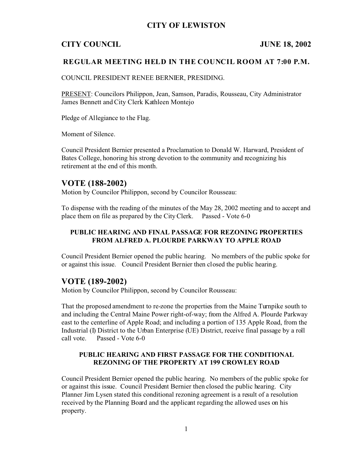## **CITY OF LEWISTON**

## **CITY COUNCIL JUNE 18, 2002**

### **REGULAR MEETING HELD IN THE COUNCIL ROOM AT 7:00 P.M.**

COUNCIL PRESIDENT RENEE BERNIER, PRESIDING.

PRESENT: Councilors Philippon, Jean, Samson, Paradis, Rousseau, City Administrator James Bennett and City Clerk Kathleen Montejo

Pledge of Allegiance to the Flag.

Moment of Silence.

Council President Bernier presented a Proclamation to Donald W. Harward, President of Bates College, honoring his strong devotion to the community and recognizing his retirement at the end of this month.

### **VOTE (188-2002)**

Motion by Councilor Philippon, second by Councilor Rousseau:

To dispense with the reading of the minutes of the May 28, 2002 meeting and to accept and place them on file as prepared by the City Clerk. Passed - Vote 6-0

### **PUBLIC HEARING AND FINAL PASSAGE FOR REZONING PROPERTIES FROM ALFRED A. PLOURDE PARKWAY TO APPLE ROAD**

Council President Bernier opened the public hearing. No members of the public spoke for or against this issue. Council President Bernier then closed the public hearing.

### **VOTE (189-2002)**

Motion by Councilor Philippon, second by Councilor Rousseau:

That the proposed amendment to re-zone the properties from the Maine Turnpike south to and including the Central Maine Power right-of-way; from the Alfred A. Plourde Parkway east to the centerline of Apple Road; and including a portion of 135 Apple Road, from the Industrial (I) District to the Urban Enterprise (UE) District, receive final passage by a roll call vote. Passed - Vote 6-0

#### **PUBLIC HEARING AND FIRST PASSAGE FOR THE CONDITIONAL REZONING OF THE PROPERTY AT 199 CROWLEY ROAD**

Council President Bernier opened the public hearing. No members of the public spoke for or against this issue. Council President Bernier then closed the public hearing. City Planner Jim Lysen stated this conditional rezoning agreement is a result of a resolution received by the Planning Board and the applicant regarding the allowed uses on his property.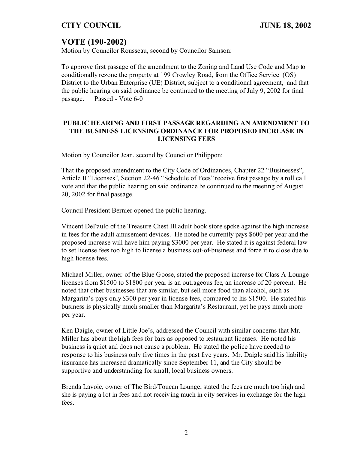## **CITY COUNCIL JUNE 18, 2002**

# **VOTE (190-2002)**

Motion by Councilor Rousseau, second by Councilor Samson:

To approve first passage of the amendment to the Zoning and Land Use Code and Map to conditionally rezone the property at 199 Crowley Road, from the Office Service (OS) District to the Urban Enterprise (UE) District, subject to a conditional agreement, and that the public hearing on said ordinance be continued to the meeting of July 9, 2002 for final passage. Passed - Vote 6-0

#### **PUBLIC HEARING AND FIRST PASSAGE REGARDING AN AMENDMENT TO THE BUSINESS LICENSING ORDINANCE FOR PROPOSED INCREASE IN LICENSING FEES**

Motion by Councilor Jean, second by Councilor Philippon:

That the proposed amendment to the City Code of Ordinances, Chapter 22 "Businesses", Article II "Licenses", Section 22-46 "Schedule of Fees" receive first passage by a roll call vote and that the public hearing on said ordinance be continued to the meeting of August 20, 2002 for final passage.

Council President Bernier opened the public hearing.

Vincent DePaulo of the Treasure Chest III adult book store spoke against the high increase in fees for the adult amusement devices. He noted he currently pays \$600 per year and the proposed increase will have him paying \$3000 per year. He stated it is against federal law to set license fees too high to license a business out-of-business and force it to close due to high license fees.

Michael Miller, owner of the Blue Goose, stated the proposed increase for Class A Lounge licenses from \$1500 to \$1800 per year is an outrageous fee, an increase of 20 percent. He noted that other businesses that are similar, but sell more food than alcohol, such as Margarita's pays only \$300 per year in license fees, compared to his \$1500. He stated his business is physically much smaller than Margarita's Restaurant, yet he pays much more per year.

Ken Daigle, owner of Little Joe's, addressed the Council with similar concerns that Mr. Miller has about the high fees for bars as opposed to restaurant licenses. He noted his business is quiet and does not cause a problem. He stated the police have needed to response to his business only five times in the past five years. Mr. Daigle said his liability insurance has increased dramatically since September 11, and the City should be supportive and understanding for small, local business owners.

Brenda Lavoie, owner of The Bird/Toucan Lounge, stated the fees are much too high and she is paying a lot in fees and not receiving much in city services in exchange for the high fees.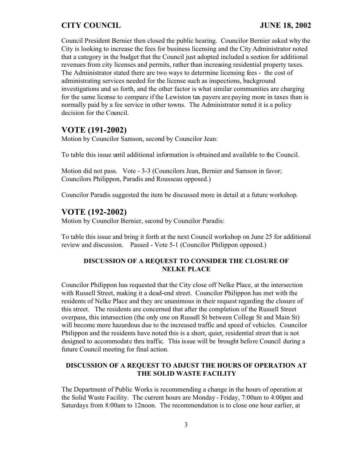# **CITY COUNCIL JUNE 18, 2002**

Council President Bernier then closed the public hearing. Councilor Bernier asked why the City is looking to increase the fees for business licensing and the City Administrator noted that a category in the budget that the Council just adopted included a section for additional revenues from city licenses and permits, rather than increasing residential property taxes. The Administrator stated there are two ways to determine licensing fees - the cost of administrating services needed for the license such as inspections, background investigations and so forth, and the other factor is what similar communities are charging for the same license to compare if the Lewiston tax payers are paying more in taxes than is normally paid by a fee service in other towns. The Administrator noted it is a policy decision for the Council.

# **VOTE (191-2002)**

Motion by Councilor Samson, second by Councilor Jean:

To table this issue until additional information is obtained and available to the Council.

Motion did not pass. Vote - 3-3 (Councilors Jean, Bernier and Samson in favor; Councilors Philippon, Paradis and Rousseau opposed.)

Councilor Paradis suggested the item be discussed more in detail at a future workshop.

## **VOTE (192-2002)**

Motion by Councilor Bernier, second by Councilor Paradis:

To table this issue and bring it forth at the next Council workshop on June 25 for additional review and discussion. Passed - Vote 5-1 (Councilor Philippon opposed.)

### **DISCUSSION OF A REQUEST TO CONSIDER THE CLOSURE OF NELKE PLACE**

Councilor Philippon has requested that the City close off Nelke Place, at the intersection with Russell Street, making it a dead-end street. Councilor Philippon has met with the residents of Nelke Place and they are unanimous in their request regarding the closure of this street. The residents are concerned that after the completion of the Russell Street overpass, this intersection (the only one on Russell St between College St and Main St) will become more hazardous due to the increased traffic and speed of vehicles. Councilor Philippon and the residents have noted this is a short, quiet, residential street that is not designed to accommodate thru traffic. This issue will be brought before Council during a future Council meeting for final action.

### **DISCUSSION OF A REQUEST TO ADJUST THE HOURS OF OPERATION AT THE SOLID WASTE FACILITY**

The Department of Public Works is recommending a change in the hours of operation at the Solid Waste Facility. The current hours are Monday - Friday, 7:00am to 4:00pm and Saturdays from 8:00am to 12noon. The recommendation is to close one hour earlier, at